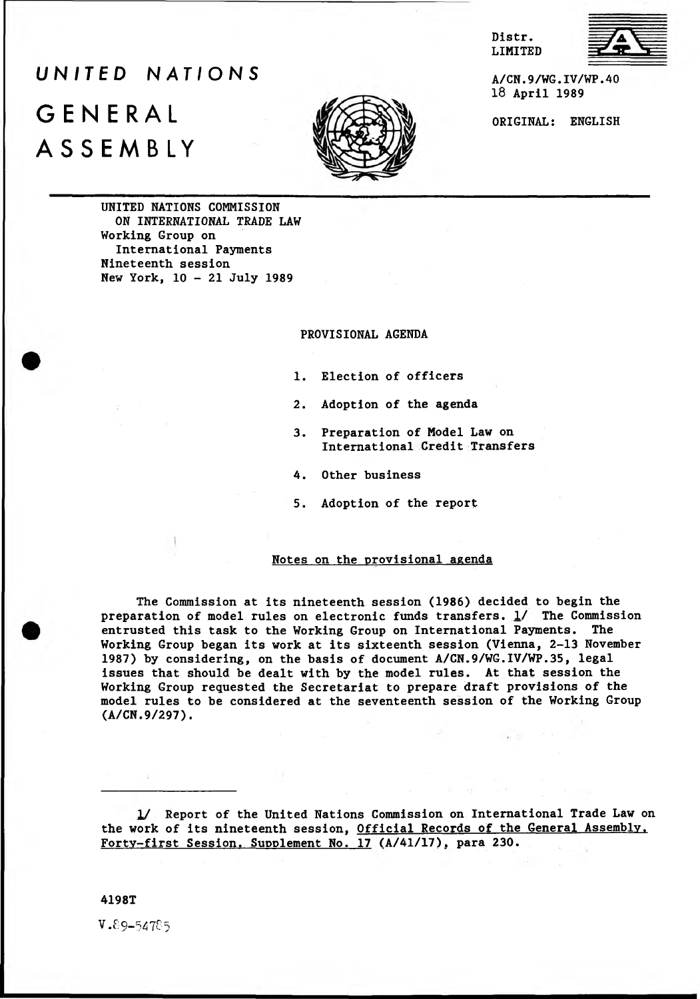Distr. LIMITED



*UNITED NATIONS* GENERAL ASSEMBLY



A/CN.9/WG.IV/WP.40 18 April 1989

ORIGINAL: ENGLISH

UNITED NATIONS COMMISSION ON INTERNATIONAL TRADE LAW Working Group on International Payments Nineteenth session New York, 10 - 21 July 1989

PROVISIONAL AGENDA

- 1. Election of officers
- 2. Adoption of the agenda
- 3. Preparation of Model Law on International Credit Transfers
- 4. Other business
- 5. Adoption of the report

## Notes on the provisional agenda

The Commission at its nineteenth session (1986) decided to begin the preparation of model rules on electronic funds transfers. 1/ The Commission entrusted this task to the Working Group on International Payments. The Working Group began its work at its sixteenth session (Vienna, 2-13 November 1987) by considering, on the basis of document A/CN.9/WG.IV/WP.35, legal issues that should be dealt with by the model rules. At that session the Working Group requested the Secretariat to prepare draft provisions of the model rules to be considered at the seventeenth session of the Working Group (A/CN.9/297).

1/ Report of the United Nations Commission on International Trade Law on the work of its nineteenth session, Official Records of the General Assembly, Fortv-first Session. Supplement No. 17 (A/41/17), para 230.

4198T

V.89-547C5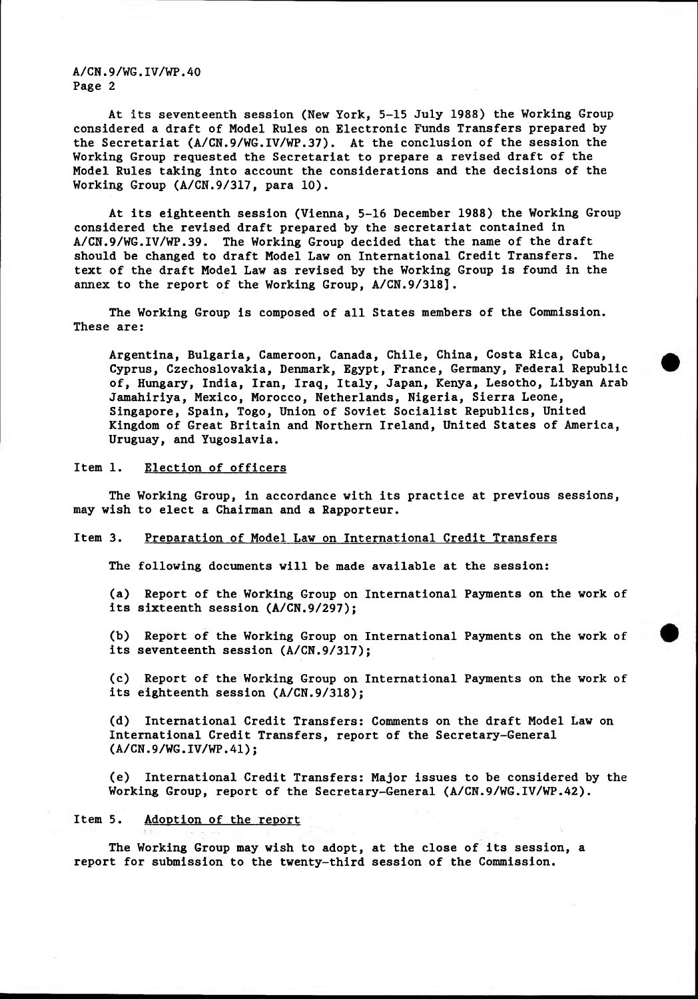A/CN.9/WG.IV/WP.40 Page 2

At its seventeenth session (New York, 5-15 July 1988) the Working Group considered a draft of Model Rules on Electronic Funds Transfers prepared by the Secretariat (A/CN.9/WG.IV/WP.37). At the conclusion of the session the Working Group requested the Secretariat to prepare a revised draft of the Model Rules taking into account the considerations and the decisions of the Working Group (A/CN.9/317, para 10).

At its eighteenth session (Vienna, 5-16 December 1988) the Working Group considered the revised draft prepared by the secretariat contained in A/CN.9/WG.IV/WP.39. The Working Group decided that the name of the draft should be changed to draft Model Law on International Credit Transfers. The text of the draft Model Law as revised by the Working Group is found in the annex to the report of the Working Group, A/CN.9/318].

The Working Group is composed of all States members of the Commission. These are:

Argentina, Bulgaria, Cameroon, Canada, Chile, China, Costa Rica, Cuba, Cyprus, Czechoslovakia, Denmark, Egypt, France, Germany, Federal Republic of, Hungary, India, Iran, Iraq, Italy, Japan, Kenya, Lesotho, Libyan Arab Jamahiriya, Mexico, Morocco, Netherlands, Nigeria, Sierra Leone, Singapore, Spain, Togo, Union of Soviet Socialist Republics, United Kingdom of Great Britain and Northern Ireland, United States of America, Uruguay, and Yugoslavia.

Item 1. Election of officers

The Working Group, in accordance with its practice at previous sessions, may wish to elect a Chairman and a Rapporteur.

## Item 3. Preparation of Model Law on International Credit Transfers

The following documents will be made available at the session:

(a) Report of the Working Group on International Payments on the work of its sixteenth session (A/CN.9/297);

(b) Report of the Working Group on International Payments on the work of its seventeenth session (A/CN.9/317);

(c) Report of the Working Group on International Payments on the work of its eighteenth session (A/CN.9/318);

(d) International Credit Transfers: Comments on the draft Model Law on International Credit Transfers, report of the Secretary-General **(A/CN.9/WG.IV/WP.41);**

(e) International Credit Transfers: Major issues to be considered by the Working Group, report of the Secretary-General (A/CN.9/WG.IV/WP.42).

## Item 5. Adoption of the report

The Working Group may wish to adopt, at the close of its session, a report for submission to the twenty-third session of the Commission.